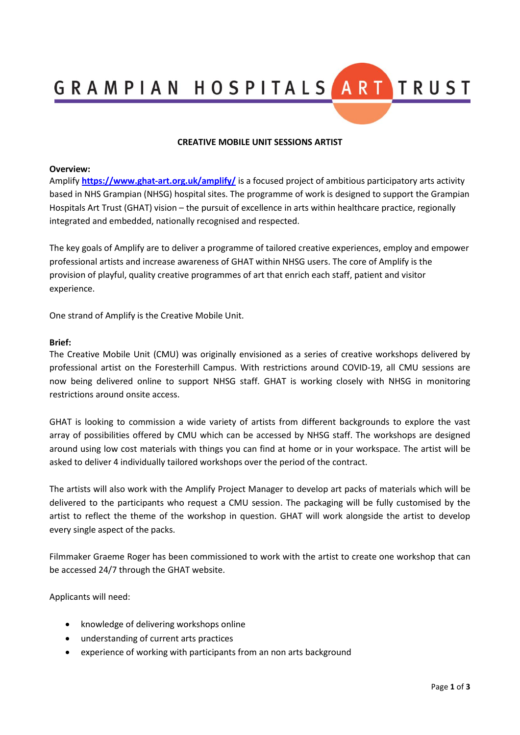GRAMPIAN HOSPITALS ART TRUST

## **CREATIVE MOBILE UNIT SESSIONS ARTIST**

#### **Overview:**

Amplify **<https://www.ghat-art.org.uk/amplify/>** is a focused project of ambitious participatory arts activity based in NHS Grampian (NHSG) hospital sites. The programme of work is designed to support the Grampian Hospitals Art Trust (GHAT) vision – the pursuit of excellence in arts within healthcare practice, regionally integrated and embedded, nationally recognised and respected.

The key goals of Amplify are to deliver a programme of tailored creative experiences, employ and empower professional artists and increase awareness of GHAT within NHSG users. The core of Amplify is the provision of playful, quality creative programmes of art that enrich each staff, patient and visitor experience.

One strand of Amplify is the Creative Mobile Unit.

#### **Brief:**

The Creative Mobile Unit (CMU) was originally envisioned as a series of creative workshops delivered by professional artist on the Foresterhill Campus. With restrictions around COVID-19, all CMU sessions are now being delivered online to support NHSG staff. GHAT is working closely with NHSG in monitoring restrictions around onsite access.

GHAT is looking to commission a wide variety of artists from different backgrounds to explore the vast array of possibilities offered by CMU which can be accessed by NHSG staff. The workshops are designed around using low cost materials with things you can find at home or in your workspace. The artist will be asked to deliver 4 individually tailored workshops over the period of the contract.

The artists will also work with the Amplify Project Manager to develop art packs of materials which will be delivered to the participants who request a CMU session. The packaging will be fully customised by the artist to reflect the theme of the workshop in question. GHAT will work alongside the artist to develop every single aspect of the packs.

Filmmaker Graeme Roger has been commissioned to work with the artist to create one workshop that can be accessed 24/7 through the GHAT website.

Applicants will need:

- knowledge of delivering workshops online
- understanding of current arts practices
- experience of working with participants from an non arts background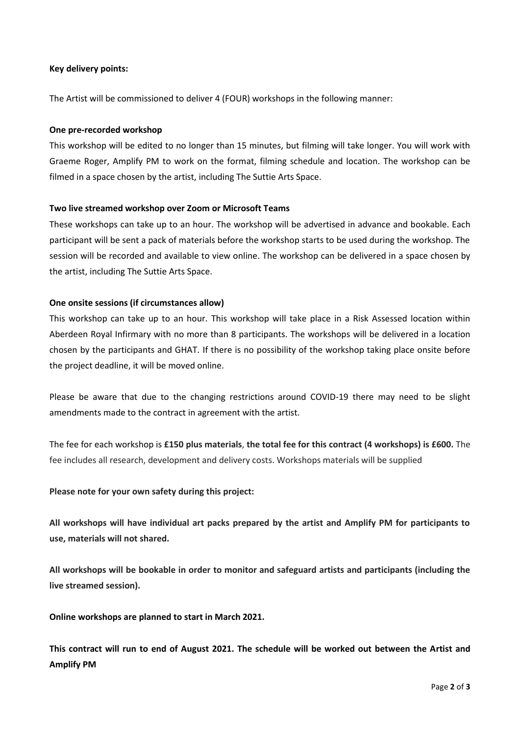# **Key delivery points:**

The Artist will be commissioned to deliver 4 (FOUR) workshops in the following manner:

#### **One pre-recorded workshop**

This workshop will be edited to no longer than 15 minutes, but filming will take longer. You will work with Graeme Roger, Amplify PM to work on the format, filming schedule and location. The workshop can be filmed in a space chosen by the artist, including The Suttie Arts Space.

## **Two live streamed workshop over Zoom or Microsoft Teams**

These workshops can take up to an hour. The workshop will be advertised in advance and bookable. Each participant will be sent a pack of materials before the workshop starts to be used during the workshop. The session will be recorded and available to view online. The workshop can be delivered in a space chosen by the artist, including The Suttie Arts Space.

## **One onsite sessions (if circumstances allow)**

This workshop can take up to an hour. This workshop will take place in a Risk Assessed location within Aberdeen Royal Infirmary with no more than 8 participants. The workshops will be delivered in a location chosen by the participants and GHAT. If there is no possibility of the workshop taking place onsite before the project deadline, it will be moved online.

Please be aware that due to the changing restrictions around COVID-19 there may need to be slight amendments made to the contract in agreement with the artist.

The fee for each workshop is **£150 plus materials**, **the total fee for this contract (4 workshops) is £600.** The fee includes all research, development and delivery costs. Workshops materials will be supplied

# **Please note for your own safety during this project:**

**All workshops will have individual art packs prepared by the artist and Amplify PM for participants to use, materials will not shared.**

**All workshops will be bookable in order to monitor and safeguard artists and participants (including the live streamed session).** 

**Online workshops are planned to start in March 2021.**

**This contract will run to end of August 2021. The schedule will be worked out between the Artist and Amplify PM**